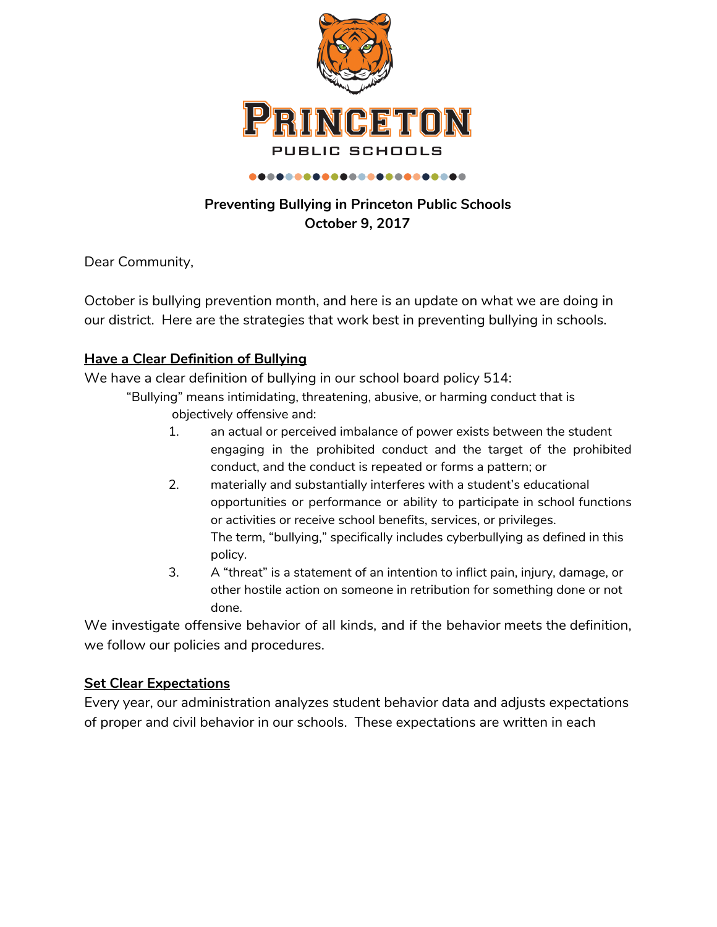

# **Preventing Bullying in Princeton Public Schools October 9, 2017**

Dear Community,

October is bullying prevention month, and here is an update on what we are doing in our district. Here are the strategies that work best in preventing bullying in schools.

#### **Have a Clear Definition of Bullying**

We have a clear definition of bullying in our school board policy 514:

"Bullying" means intimidating, threatening, abusive, or harming conduct that is objectively offensive and:

- 1. an actual or perceived imbalance of power exists between the student engaging in the prohibited conduct and the target of the prohibited conduct, and the conduct is repeated or forms a pattern; or
- 2. materially and substantially interferes with a student's educational opportunities or performance or ability to participate in school functions or activities or receive school benefits, services, or privileges. The term, "bullying," specifically includes cyberbullying as defined in this policy.
- 3. A "threat" is a statement of an intention to inflict pain, injury, damage, or other hostile action on someone in retribution for something done or not done.

We investigate offensive behavior of all kinds, and if the behavior meets the definition, we follow our policies and procedures.

#### **Set Clear Expectations**

Every year, our administration analyzes student behavior data and adjusts expectations of proper and civil behavior in our schools. These expectations are written in each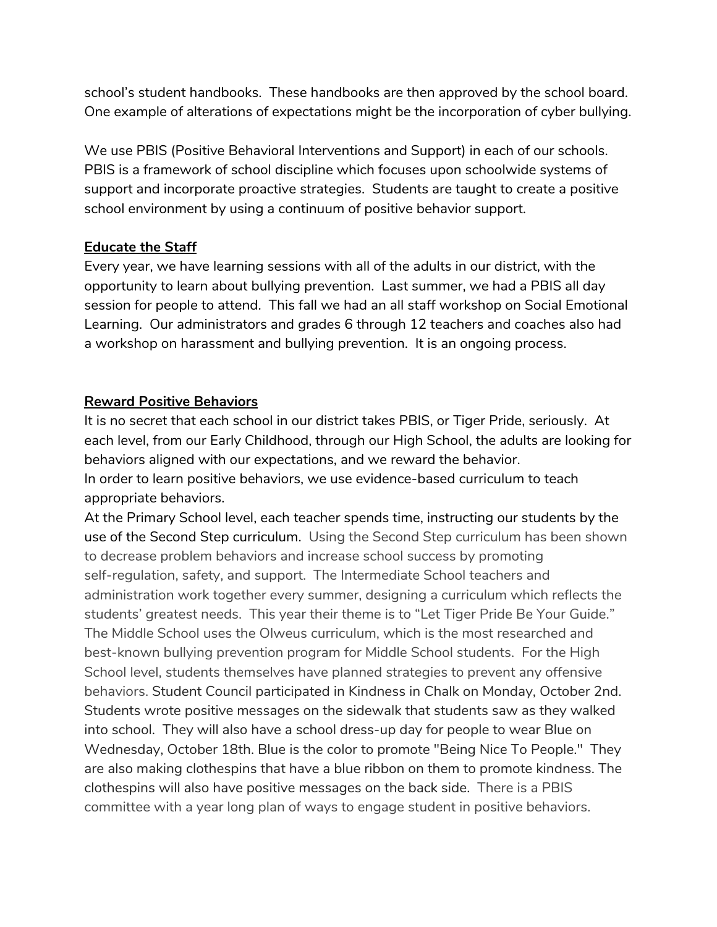school's student handbooks. These handbooks are then approved by the school board. One example of alterations of expectations might be the incorporation of cyber bullying.

We use PBIS (Positive Behavioral Interventions and Support) in each of our schools. PBIS is a framework of school discipline which focuses upon schoolwide systems of support and incorporate proactive strategies. Students are taught to create a positive school environment by using a continuum of positive behavior support.

#### **Educate the Staff**

Every year, we have learning sessions with all of the adults in our district, with the opportunity to learn about bullying prevention. Last summer, we had a PBIS all day session for people to attend. This fall we had an all staff workshop on Social Emotional Learning. Our administrators and grades 6 through 12 teachers and coaches also had a workshop on harassment and bullying prevention. It is an ongoing process.

#### **Reward Positive Behaviors**

It is no secret that each school in our district takes PBIS, or Tiger Pride, seriously. At each level, from our Early Childhood, through our High School, the adults are looking for behaviors aligned with our expectations, and we reward the behavior. In order to learn positive behaviors, we use evidence-based curriculum to teach appropriate behaviors.

At the Primary School level, each teacher spends time, instructing our students by the use of the Second Step curriculum. Using the Second Step curriculum has been shown to decrease problem behaviors and increase school success by promoting self-regulation, safety, and support. The Intermediate School teachers and administration work together every summer, designing a curriculum which reflects the students' greatest needs. This year their theme is to "Let Tiger Pride Be Your Guide." The Middle School uses the Olweus curriculum, which is the most researched and best-known bullying prevention program for Middle School students. For the High School level, students themselves have planned strategies to prevent any offensive behaviors. Student Council participated in Kindness in Chalk on Monday, October 2nd. Students wrote positive messages on the sidewalk that students saw as they walked into school. They will also have a school dress-up day for people to wear Blue on Wednesday, October 18th. Blue is the color to promote "Being Nice To People." They are also making clothespins that have a blue ribbon on them to promote kindness. The clothespins will also have positive messages on the back side. There is a PBIS committee with a year long plan of ways to engage student in positive behaviors.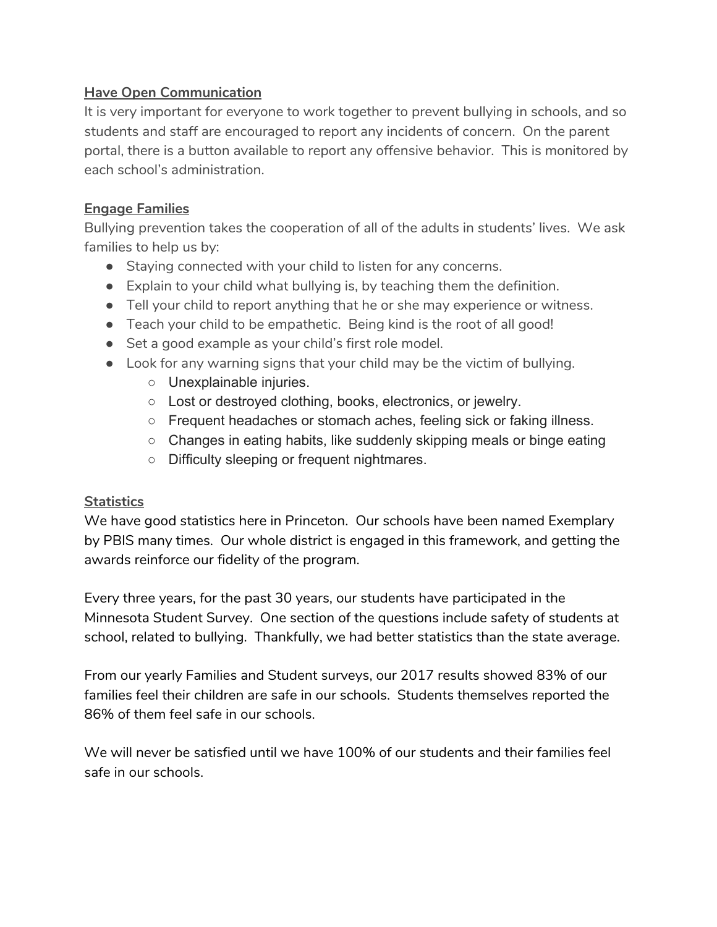### **Have Open Communication**

It is very important for everyone to work together to prevent bullying in schools, and so students and staff are encouraged to report any incidents of concern. On the parent portal, there is a button available to report any offensive behavior. This is monitored by each school's administration.

# **Engage Families**

Bullying prevention takes the cooperation of all of the adults in students' lives. We ask families to help us by:

- Staying connected with your child to listen for any concerns.
- $\bullet$  Explain to your child what bullying is, by teaching them the definition.
- Tell your child to report anything that he or she may experience or witness.
- Teach your child to be empathetic. Being kind is the root of all good!
- Set a good example as your child's first role model.
- Look for any warning signs that your child may be the victim of bullying.
	- Unexplainable injuries.
	- Lost or destroyed clothing, books, electronics, or jewelry.
	- $\circ$  Frequent headaches or stomach aches, feeling sick or faking illness.
	- $\circ$  Changes in eating habits, like suddenly skipping meals or binge eating
	- Difficulty sleeping or frequent nightmares.

# **Statistics**

We have good statistics here in Princeton. Our schools have been named Exemplary by PBIS many times. Our whole district is engaged in this framework, and getting the awards reinforce our fidelity of the program.

Every three years, for the past 30 years, our students have participated in the Minnesota Student Survey. One section of the questions include safety of students at school, related to bullying. Thankfully, we had better statistics than the state average.

From our yearly Families and Student surveys, our 2017 results showed 83% of our families feel their children are safe in our schools. Students themselves reported the 86% of them feel safe in our schools.

We will never be satisfied until we have 100% of our students and their families feel safe in our schools.